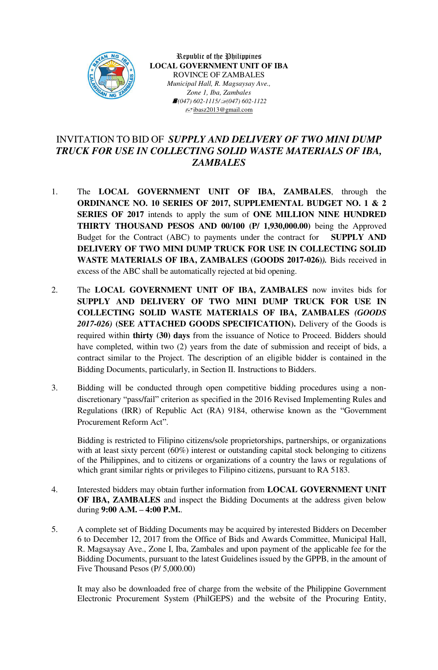

Republic of the Philippines **LOCAL GOVERNMENT UNIT OF IBA** ROVINCE OF ZAMBALES *Municipal Hall, R. Magsaysay Ave., Zone 1, Iba, Zambales <i>f*(047) 602-1115/*√*(047) 602-1122  $\equiv$ jbasz2013@gmail.com

## INVITATION TO BID OF *SUPPLY AND DELIVERY OF TWO MINI DUMP TRUCK FOR USE IN COLLECTING SOLID WASTE MATERIALS OF IBA, ZAMBALES*

- 1. The **LOCAL GOVERNMENT UNIT OF IBA, ZAMBALES**, through the **ORDINANCE NO. 10 SERIES OF 2017, SUPPLEMENTAL BUDGET NO. 1 & 2 SERIES OF 2017** intends to apply the sum of **ONE MILLION NINE HUNDRED THIRTY THOUSAND PESOS AND 00/100 (P/ 1,930,000.00)** being the Approved Budget for the Contract (ABC) to payments under the contract for **SUPPLY AND DELIVERY OF TWO MINI DUMP TRUCK FOR USE IN COLLECTING SOLID WASTE MATERIALS OF IBA, ZAMBALES (GOODS 2017-026)***).* Bids received in excess of the ABC shall be automatically rejected at bid opening.
- 2. The **LOCAL GOVERNMENT UNIT OF IBA, ZAMBALES** now invites bids for **SUPPLY AND DELIVERY OF TWO MINI DUMP TRUCK FOR USE IN COLLECTING SOLID WASTE MATERIALS OF IBA, ZAMBALES** *(GOODS 2017-026)* **(SEE ATTACHED GOODS SPECIFICATION).** Delivery of the Goods is required within **thirty (30) days** from the issuance of Notice to Proceed. Bidders should have completed, within two (2) years from the date of submission and receipt of bids, a contract similar to the Project. The description of an eligible bidder is contained in the Bidding Documents, particularly, in Section II. Instructions to Bidders.
- 3. Bidding will be conducted through open competitive bidding procedures using a nondiscretionary "pass/fail" criterion as specified in the 2016 Revised Implementing Rules and Regulations (IRR) of Republic Act (RA) 9184, otherwise known as the "Government Procurement Reform Act".

Bidding is restricted to Filipino citizens/sole proprietorships, partnerships, or organizations with at least sixty percent (60%) interest or outstanding capital stock belonging to citizens of the Philippines, and to citizens or organizations of a country the laws or regulations of which grant similar rights or privileges to Filipino citizens, pursuant to RA 5183.

- 4. Interested bidders may obtain further information from **LOCAL GOVERNMENT UNIT OF IBA, ZAMBALES** and inspect the Bidding Documents at the address given below during **9:00 A.M. – 4:00 P.M.**.
- 5. A complete set of Bidding Documents may be acquired by interested Bidders on December 6 to December 12, 2017 from the Office of Bids and Awards Committee, Municipal Hall, R. Magsaysay Ave., Zone I, Iba, Zambales and upon payment of the applicable fee for the Bidding Documents, pursuant to the latest Guidelines issued by the GPPB, in the amount of Five Thousand Pesos (P/ 5,000.00)

It may also be downloaded free of charge from the website of the Philippine Government Electronic Procurement System (PhilGEPS) and the website of the Procuring Entity,